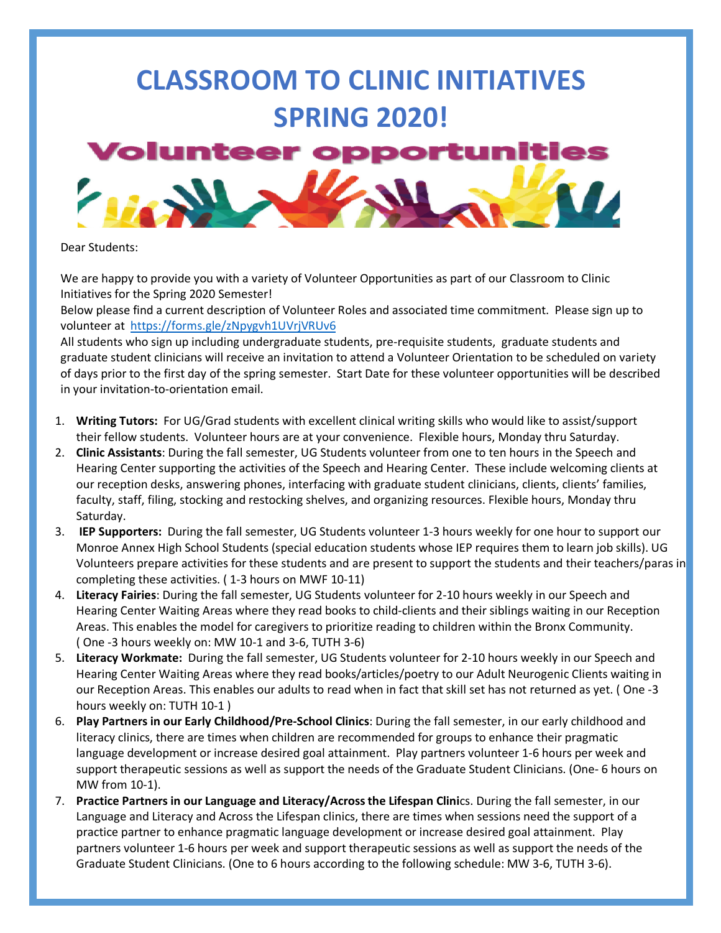## **CLASSROOM TO CLINIC INITIATIVES SPRING 2020!**



Dear Students:

We are happy to provide you with a variety of Volunteer Opportunities as part of our Classroom to Clinic Initiatives for the Spring 2020 Semester!

Below please find a current description of Volunteer Roles and associated time commitment.Please sign up to volunteer at https://forms.gle/zNpygvh1UVrjVRUv6

All students who sign up including undergraduate students, pre-requisite students, graduate students and graduate student clinicians will receive an invitation to attend a Volunteer Orientation to be scheduled on variety of days prior to the first day of the spring semester. Start Date for these volunteer opportunities will be described in your invitation-to-orientation email.

- 1. **Writing Tutors:** For UG/Grad students with excellent clinical writing skills who would like to assist/support their fellow students. Volunteer hours are at your convenience. Flexible hours, Monday thru Saturday.
- 2. **Clinic Assistants**: During the fall semester, UG Students volunteer from one to ten hours in the Speech and Hearing Center supporting the activities of the Speech and Hearing Center. These include welcoming clients at our reception desks, answering phones, interfacing with graduate student clinicians, clients, clients' families, faculty, staff, filing, stocking and restocking shelves, and organizing resources. Flexible hours, Monday thru Saturday.
- 3. **IEP Supporters:** During the fall semester, UG Students volunteer 1-3 hours weekly for one hour to support our Monroe Annex High School Students (special education students whose IEP requires them to learn job skills). UG Volunteers prepare activities for these students and are present to support the students and their teachers/paras in completing these activities. ( 1-3 hours on MWF 10-11)
- 4. **Literacy Fairies**: During the fall semester, UG Students volunteer for 2-10 hours weekly in our Speech and Hearing Center Waiting Areas where they read books to child-clients and their siblings waiting in our Reception Areas. This enables the model for caregivers to prioritize reading to children within the Bronx Community. ( One -3 hours weekly on: MW 10-1 and 3-6, TUTH 3-6)
- 5. **Literacy Workmate:** During the fall semester, UG Students volunteer for 2-10 hours weekly in our Speech and Hearing Center Waiting Areas where they read books/articles/poetry to our Adult Neurogenic Clients waiting in our Reception Areas. This enables our adults to read when in fact that skill set has not returned as yet. ( One -3 hours weekly on: TUTH 10-1 )
- 6. **Play Partners in our Early Childhood/Pre-School Clinics**: During the fall semester, in our early childhood and literacy clinics, there are times when children are recommended for groups to enhance their pragmatic language development or increase desired goal attainment. Play partners volunteer 1-6 hours per week and support therapeutic sessions as well as support the needs of the Graduate Student Clinicians. (One- 6 hours on MW from 10-1).
- 7. **Practice Partners in our Language and Literacy/Across the Lifespan Clini**cs. During the fall semester, in our Language and Literacy and Across the Lifespan clinics, there are times when sessions need the support of a practice partner to enhance pragmatic language development or increase desired goal attainment. Play partners volunteer 1-6 hours per week and support therapeutic sessions as well as support the needs of the Graduate Student Clinicians. (One to 6 hours according to the following schedule: MW 3-6, TUTH 3-6).